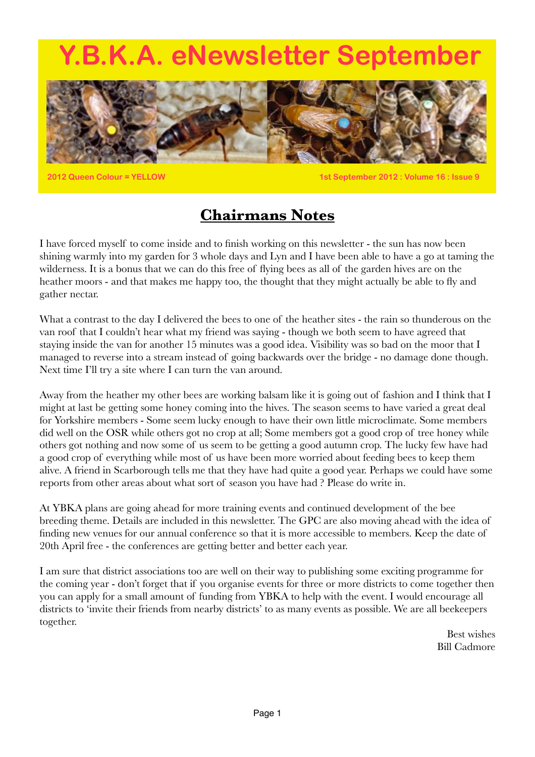# <span id="page-0-0"></span>**Y.B.K.A. eNewsletter September**



**2012 Queen Colour = YELLOW 1st September 2012 : Volume 16 : Issue 9**

# **Chairmans Notes**

I have forced myself to come inside and to finish working on this newsletter - the sun has now been shining warmly into my garden for 3 whole days and Lyn and I have been able to have a go at taming the wilderness. It is a bonus that we can do this free of flying bees as all of the garden hives are on the heather moors - and that makes me happy too, the thought that they might actually be able to fly and gather nectar.

What a contrast to the day I delivered the bees to one of the heather sites - the rain so thunderous on the van roof that I couldn't hear what my friend was saying - though we both seem to have agreed that staying inside the van for another 15 minutes was a good idea. Visibility was so bad on the moor that I managed to reverse into a stream instead of going backwards over the bridge - no damage done though. Next time I'll try a site where I can turn the van around.

Away from the heather my other bees are working balsam like it is going out of fashion and I think that I might at last be getting some honey coming into the hives. The season seems to have varied a great deal for Yorkshire members - Some seem lucky enough to have their own little microclimate. Some members did well on the OSR while others got no crop at all; Some members got a good crop of tree honey while others got nothing and now some of us seem to be getting a good autumn crop. The lucky few have had a good crop of everything while most of us have been more worried about feeding bees to keep them alive. A friend in Scarborough tells me that they have had quite a good year. Perhaps we could have some reports from other areas about what sort of season you have had ? Please do write in.

At YBKA plans are going ahead for more training events and continued development of the bee breeding theme. Details are included in this newsletter. The GPC are also moving ahead with the idea of finding new venues for our annual conference so that it is more accessible to members. Keep the date of 20th April free - the conferences are getting better and better each year.

I am sure that district associations too are well on their way to publishing some exciting programme for the coming year - don't forget that if you organise events for three or more districts to come together then you can apply for a small amount of funding from YBKA to help with the event. I would encourage all districts to 'invite their friends from nearby districts' to as many events as possible. We are all beekeepers together.

> Best wishes Bill Cadmore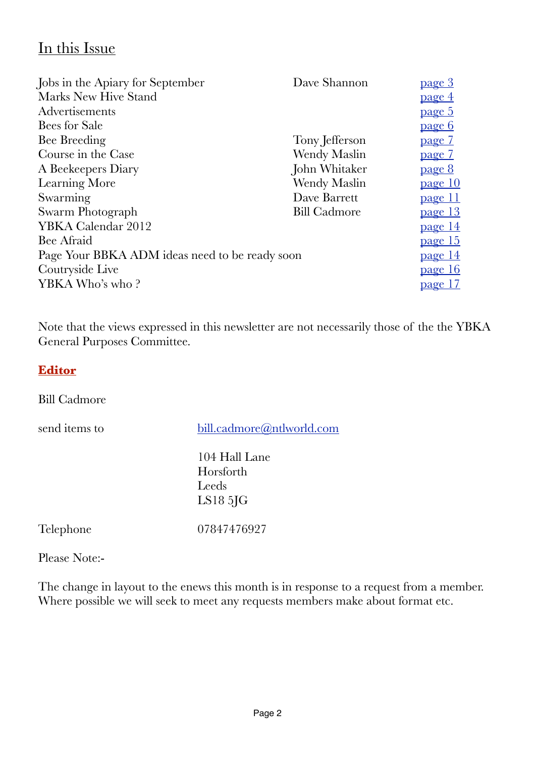## In this Issue

| Jobs in the Apiary for September               | Dave Shannon        | <u>page 3</u>  |
|------------------------------------------------|---------------------|----------------|
| Marks New Hive Stand                           |                     | <u>page 4</u>  |
| Advertisements                                 |                     | <u>page 5</u>  |
| Bees for Sale                                  |                     | <u>page 6</u>  |
| Bee Breeding                                   | Tony Jefferson      | <u>page 7</u>  |
| Course in the Case                             | Wendy Maslin        | <u>page 7</u>  |
| A Beekeepers Diary                             | John Whitaker       | <u>page 8</u>  |
| Learning More                                  | Wendy Maslin        | <u>page 10</u> |
| Swarming                                       | Dave Barrett        | <u>page 11</u> |
| Swarm Photograph                               | <b>Bill Cadmore</b> | <u>page 13</u> |
| YBKA Calendar 2012                             |                     | <u>page 14</u> |
| Bee Afraid                                     |                     | page 15        |
| Page Your BBKA ADM ideas need to be ready soon |                     | <u>page 14</u> |
| Coutryside Live                                |                     | page 16        |
| YBKA Who's who?                                |                     | <u>page 17</u> |
|                                                |                     |                |

Note that the views expressed in this newsletter are not necessarily those of the the YBKA General Purposes Committee.

### **Editor**

Bill Cadmore

send items to [bill.cadmore@ntlworld.com](mailto:bill.cadmore@ntlworld.com)

 104 Hall Lane Horsforth Leeds LS18 5JG

Telephone 07847476927

Please Note:-

The change in layout to the enews this month is in response to a request from a member. Where possible we will seek to meet any requests members make about format etc.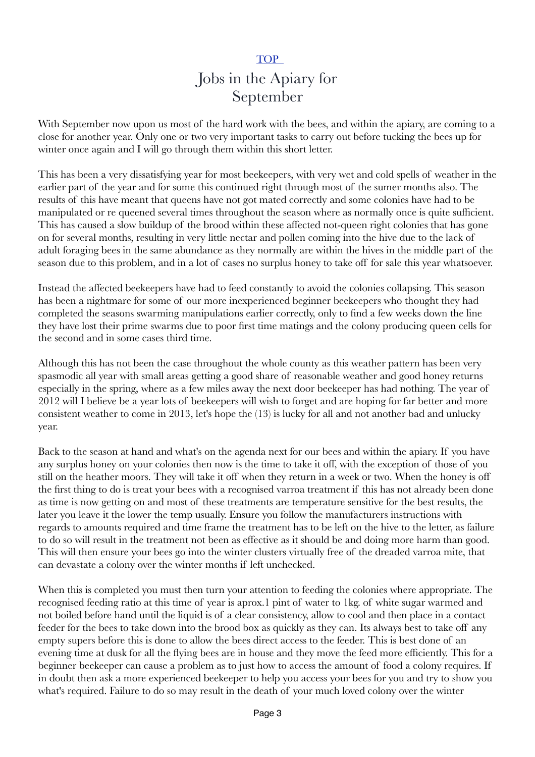### <span id="page-2-0"></span>**TOP** Jobs in the Apiary for September

With September now upon us most of the hard work with the bees, and within the apiary, are coming to a close for another year. Only one or two very important tasks to carry out before tucking the bees up for winter once again and I will go through them within this short letter.

This has been a very dissatisfying year for most beekeepers, with very wet and cold spells of weather in the earlier part of the year and for some this continued right through most of the sumer months also. The results of this have meant that queens have not got mated correctly and some colonies have had to be manipulated or re queened several times throughout the season where as normally once is quite sufficient. This has caused a slow buildup of the brood within these affected not-queen right colonies that has gone on for several months, resulting in very little nectar and pollen coming into the hive due to the lack of adult foraging bees in the same abundance as they normally are within the hives in the middle part of the season due to this problem, and in a lot of cases no surplus honey to take off for sale this year whatsoever.

Instead the affected beekeepers have had to feed constantly to avoid the colonies collapsing. This season has been a nightmare for some of our more inexperienced beginner beekeepers who thought they had completed the seasons swarming manipulations earlier correctly, only to find a few weeks down the line they have lost their prime swarms due to poor first time matings and the colony producing queen cells for the second and in some cases third time.

Although this has not been the case throughout the whole county as this weather pattern has been very spasmodic all year with small areas getting a good share of reasonable weather and good honey returns especially in the spring, where as a few miles away the next door beekeeper has had nothing. The year of 2012 will I believe be a year lots of beekeepers will wish to forget and are hoping for far better and more consistent weather to come in 2013, let's hope the (13) is lucky for all and not another bad and unlucky year.

Back to the season at hand and what's on the agenda next for our bees and within the apiary. If you have any surplus honey on your colonies then now is the time to take it off, with the exception of those of you still on the heather moors. They will take it off when they return in a week or two. When the honey is off the first thing to do is treat your bees with a recognised varroa treatment if this has not already been done as time is now getting on and most of these treatments are temperature sensitive for the best results, the later you leave it the lower the temp usually. Ensure you follow the manufacturers instructions with regards to amounts required and time frame the treatment has to be left on the hive to the letter, as failure to do so will result in the treatment not been as effective as it should be and doing more harm than good. This will then ensure your bees go into the winter clusters virtually free of the dreaded varroa mite, that can devastate a colony over the winter months if left unchecked.

When this is completed you must then turn your attention to feeding the colonies where appropriate. The recognised feeding ratio at this time of year is aprox.1 pint of water to 1kg. of white sugar warmed and not boiled before hand until the liquid is of a clear consistency, allow to cool and then place in a contact feeder for the bees to take down into the brood box as quickly as they can. Its always best to take off any empty supers before this is done to allow the bees direct access to the feeder. This is best done of an evening time at dusk for all the flying bees are in house and they move the feed more efficiently. This for a beginner beekeeper can cause a problem as to just how to access the amount of food a colony requires. If in doubt then ask a more experienced beekeeper to help you access your bees for you and try to show you what's required. Failure to do so may result in the death of your much loved colony over the winter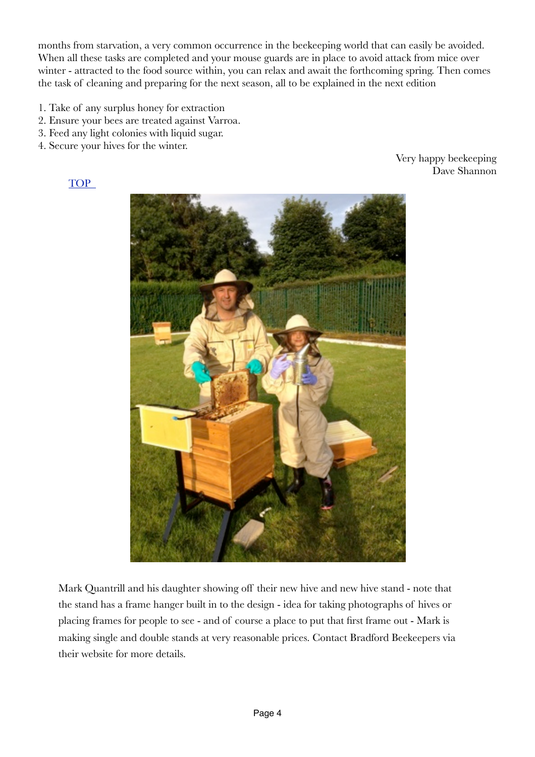months from starvation, a very common occurrence in the beekeeping world that can easily be avoided. When all these tasks are completed and your mouse guards are in place to avoid attack from mice over winter - attracted to the food source within, you can relax and await the forthcoming spring. Then comes the task of cleaning and preparing for the next season, all to be explained in the next edition

- 1. Take of any surplus honey for extraction
- 2. Ensure your bees are treated against Varroa.
- 3. Feed any light colonies with liquid sugar.
- 4. Secure your hives for the winter.

**TOP** 

Very happy beekeeping Dave Shannon



<span id="page-3-0"></span>Mark Quantrill and his daughter showing off their new hive and new hive stand - note that the stand has a frame hanger built in to the design - idea for taking photographs of hives or placing frames for people to see - and of course a place to put that first frame out - Mark is making single and double stands at very reasonable prices. Contact Bradford Beekeepers via their website for more details.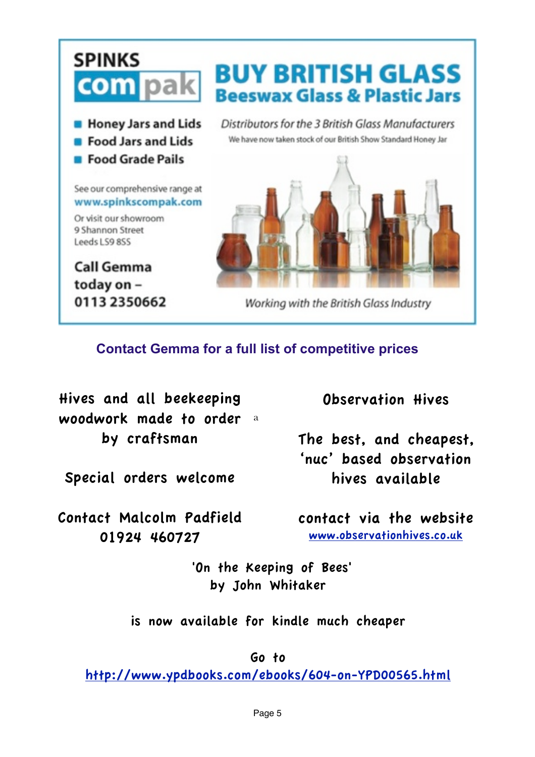

### **Contact Gemma for a full list of competitive prices**

woodwork made to order a Hives and all beekeeping by craftsman

Special orders welcome

Contact Malcolm Padfield 01924 460727

Observation Hives

<span id="page-4-0"></span>The best, and cheapest, 'nuc' based observation hives available

contact via the website [www.observationhives.co.uk](http://www.observationhives.co.uk)

 'On the Keeping of Bees' by John Whitaker

is now available for kindle much cheaper

Go to

<http://www.ypdbooks.com/ebooks/604-on-YPD00565.html>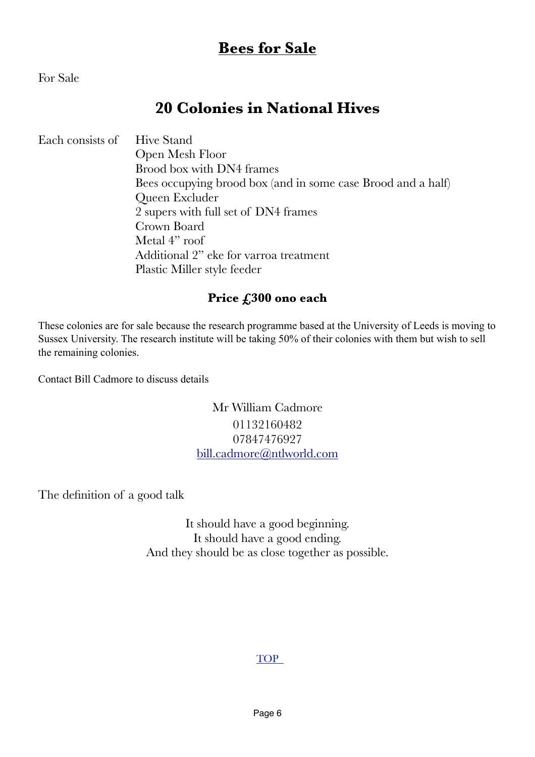## <span id="page-5-0"></span>**Bees for Sale**

For Sale

## **20 Colonies in National Hives**

Each consists of Hive Stand

 Open Mesh Floor Brood box with DN4 frames Bees occupying brood box (and in some case Brood and a half) Queen Excluder 2 supers with full set of DN4 frames Crown Board 
Metal 4" roof 
Additional 2" eke for varroa treatment Plastic Miller style feeder

### **Price £300 ono each**

These colonies are for sale because the research programme based at the University of Leeds is moving to Sussex University. The research institute will be taking 50% of their colonies with them but wish to sell the remaining colonies.

Contact Bill Cadmore to discuss details

Mr William Cadmore 01132160482 07847476927 [bill.cadmore@ntlworld.com](mailto:bill.cadmore@ntlworld.com)

The definition of a good talk

It should have a good beginning. It should have a good ending. And they should be as close together as possible.

### [TOP](#page-0-0)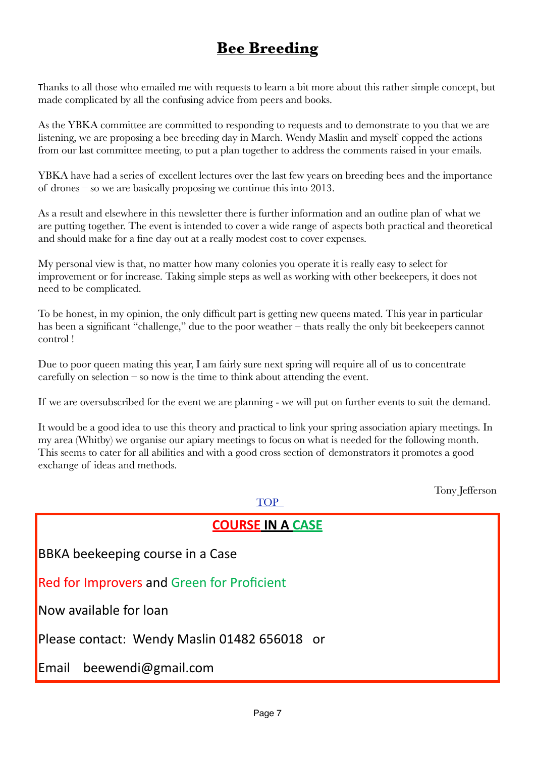# <span id="page-6-0"></span>**Bee Breeding**

Thanks to all those who emailed me with requests to learn a bit more about this rather simple concept, but made complicated by all the confusing advice from peers and books.

As the YBKA committee are committed to responding to requests and to demonstrate to you that we are listening, we are proposing a bee breeding day in March. Wendy Maslin and myself copped the actions from our last committee meeting, to put a plan together to address the comments raised in your emails.

YBKA have had a series of excellent lectures over the last few years on breeding bees and the importance of drones – so we are basically proposing we continue this into 2013.

As a result and elsewhere in this newsletter there is further information and an outline plan of what we are putting together. The event is intended to cover a wide range of aspects both practical and theoretical and should make for a fine day out at a really modest cost to cover expenses.

My personal view is that, no matter how many colonies you operate it is really easy to select for improvement or for increase. Taking simple steps as well as working with other beekeepers, it does not need to be complicated.

To be honest, in my opinion, the only difficult part is getting new queens mated. This year in particular has been a significant "challenge," due to the poor weather – thats really the only bit beekeepers cannot control !

Due to poor queen mating this year, I am fairly sure next spring will require all of us to concentrate carefully on selection – so now is the time to think about attending the event.

If we are oversubscribed for the event we are planning - we will put on further events to suit the demand.

It would be a good idea to use this theory and practical to link your spring association apiary meetings. In my area (Whitby) we organise our apiary meetings to focus on what is needed for the following month. This seems to cater for all abilities and with a good cross section of demonstrators it promotes a good exchange of ideas and methods.

 $TOP$ 

Tony Jefferson

| <b>COURSE IN A CASE</b>                           |  |  |
|---------------------------------------------------|--|--|
| <b>BBKA</b> beekeeping course in a Case           |  |  |
| <b>Red for Improvers and Green for Proficient</b> |  |  |
| Now available for loan                            |  |  |
| Please contact: Wendy Maslin 01482 656018 or      |  |  |
| Email beewendi@gmail.com                          |  |  |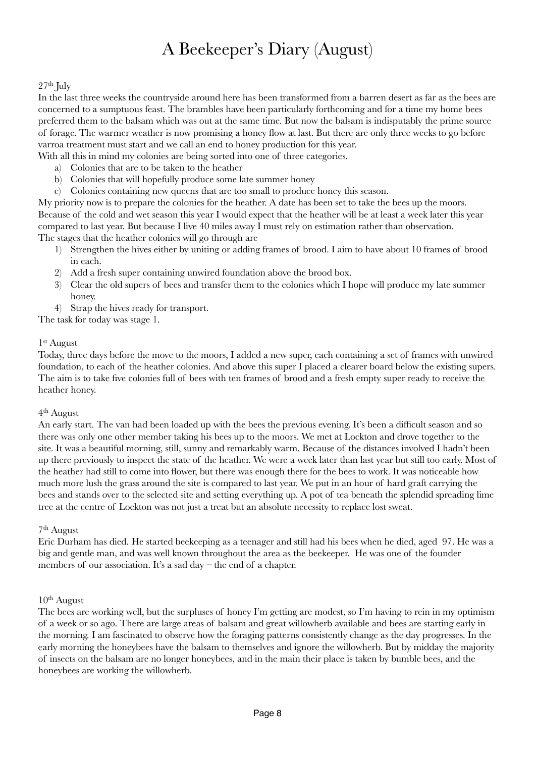# <span id="page-7-0"></span>A Beekeeper's Diary (August)

#### $27<sup>th</sup>$  July

In the last three weeks the countryside around here has been transformed from a barren desert as far as the bees are concerned to a sumptuous feast. The brambles have been particularly forthcoming and for a time my home bees preferred them to the balsam which was out at the same time. But now the balsam is indisputably the prime source of forage. The warmer weather is now promising a honey flow at last. But there are only three weeks to go before varroa treatment must start and we call an end to honey production for this year.

With all this in mind my colonies are being sorted into one of three categories.

- a) Colonies that are to be taken to the heather
- b) Colonies that will hopefully produce some late summer honey
- c) Colonies containing new queens that are too small to produce honey this season.

My priority now is to prepare the colonies for the heather. A date has been set to take the bees up the moors. Because of the cold and wet season this year I would expect that the heather will be at least a week later this year compared to last year. But because I live 40 miles away I must rely on estimation rather than observation. The stages that the heather colonies will go through are

- 1) Strengthen the hives either by uniting or adding frames of brood. I aim to have about 10 frames of brood in each.
- 2) Add a fresh super containing unwired foundation above the brood box.
- 3) Clear the old supers of bees and transfer them to the colonies which I hope will produce my late summer honey.
- 4) Strap the hives ready for transport.

The task for today was stage 1.

#### 1st August

Today, three days before the move to the moors, I added a new super, each containing a set of frames with unwired foundation, to each of the heather colonies. And above this super I placed a clearer board below the existing supers. The aim is to take five colonies full of bees with ten frames of brood and a fresh empty super ready to receive the heather honey.

#### 4th August

An early start. The van had been loaded up with the bees the previous evening. It's been a difficult season and so there was only one other member taking his bees up to the moors. We met at Lockton and drove together to the site. It was a beautiful morning, still, sunny and remarkably warm. Because of the distances involved I hadn't been up there previously to inspect the state of the heather. We were a week later than last year but still too early. Most of the heather had still to come into flower, but there was enough there for the bees to work. It was noticeable how much more lush the grass around the site is compared to last year. We put in an hour of hard graft carrying the bees and stands over to the selected site and setting everything up. A pot of tea beneath the splendid spreading lime tree at the centre of Lockton was not just a treat but an absolute necessity to replace lost sweat.

#### 7th August

Eric Durham has died. He started beekeeping as a teenager and still had his bees when he died, aged 97. He was a big and gentle man, and was well known throughout the area as the beekeeper. He was one of the founder members of our association. It's a sad day – the end of a chapter.

#### $10<sup>th</sup>$  August

The bees are working well, but the surpluses of honey I'm getting are modest, so I'm having to rein in my optimism of a week or so ago. There are large areas of balsam and great willowherb available and bees are starting early in the morning. I am fascinated to observe how the foraging patterns consistently change as the day progresses. In the early morning the honeybees have the balsam to themselves and ignore the willowherb. But by midday the majority of insects on the balsam are no longer honeybees, and in the main their place is taken by bumble bees, and the honeybees are working the willowherb.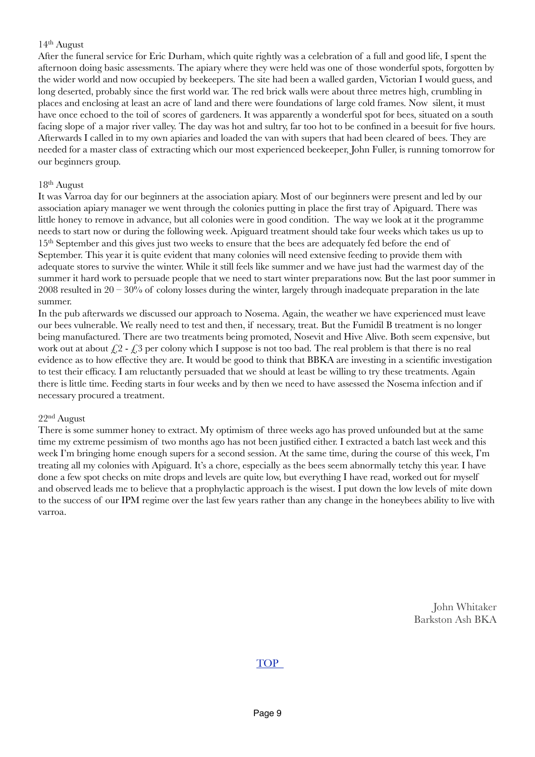#### 14th August

After the funeral service for Eric Durham, which quite rightly was a celebration of a full and good life, I spent the afternoon doing basic assessments. The apiary where they were held was one of those wonderful spots, forgotten by the wider world and now occupied by beekeepers. The site had been a walled garden, Victorian I would guess, and long deserted, probably since the first world war. The red brick walls were about three metres high, crumbling in places and enclosing at least an acre of land and there were foundations of large cold frames. Now silent, it must have once echoed to the toil of scores of gardeners. It was apparently a wonderful spot for bees, situated on a south facing slope of a major river valley. The day was hot and sultry, far too hot to be confined in a beesuit for five hours. Afterwards I called in to my own apiaries and loaded the van with supers that had been cleared of bees. They are needed for a master class of extracting which our most experienced beekeeper, John Fuller, is running tomorrow for our beginners group.

#### 18th August

It was Varroa day for our beginners at the association apiary. Most of our beginners were present and led by our association apiary manager we went through the colonies putting in place the first tray of Apiguard. There was little honey to remove in advance, but all colonies were in good condition. The way we look at it the programme needs to start now or during the following week. Apiguard treatment should take four weeks which takes us up to 15th September and this gives just two weeks to ensure that the bees are adequately fed before the end of September. This year it is quite evident that many colonies will need extensive feeding to provide them with adequate stores to survive the winter. While it still feels like summer and we have just had the warmest day of the summer it hard work to persuade people that we need to start winter preparations now. But the last poor summer in 2008 resulted in  $20 - 30\%$  of colony losses during the winter, largely through inadequate preparation in the late summer.

In the pub afterwards we discussed our approach to Nosema. Again, the weather we have experienced must leave our bees vulnerable. We really need to test and then, if necessary, treat. But the Fumidil B treatment is no longer being manufactured. There are two treatments being promoted, Nosevit and Hive Alive. Both seem expensive, but work out at about  $\mathcal{L}2$  -  $\mathcal{L}3$  per colony which I suppose is not too bad. The real problem is that there is no real evidence as to how effective they are. It would be good to think that BBKA are investing in a scientific investigation to test their efficacy. I am reluctantly persuaded that we should at least be willing to try these treatments. Again there is little time. Feeding starts in four weeks and by then we need to have assessed the Nosema infection and if necessary procured a treatment.

#### 22nd August

There is some summer honey to extract. My optimism of three weeks ago has proved unfounded but at the same time my extreme pessimism of two months ago has not been justified either. I extracted a batch last week and this week I'm bringing home enough supers for a second session. At the same time, during the course of this week, I'm treating all my colonies with Apiguard. It's a chore, especially as the bees seem abnormally tetchy this year. I have done a few spot checks on mite drops and levels are quite low, but everything I have read, worked out for myself and observed leads me to believe that a prophylactic approach is the wisest. I put down the low levels of mite down to the success of our IPM regime over the last few years rather than any change in the honeybees ability to live with varroa.

> John Whitaker Barkston Ash BKA

#### **TOP**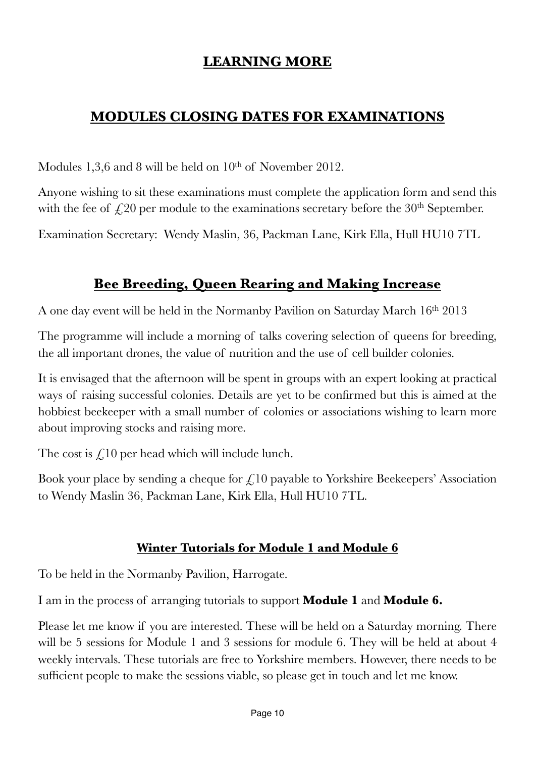### <span id="page-9-0"></span>**LEARNING MORE**

### **MODULES CLOSING DATES FOR EXAMINATIONS**

Modules 1,3,6 and 8 will be held on  $10<sup>th</sup>$  of November 2012.

Anyone wishing to sit these examinations must complete the application form and send this with the fee of  $\angle$  20 per module to the examinations secretary before the 30<sup>th</sup> September.

Examination Secretary: Wendy Maslin, 36, Packman Lane, Kirk Ella, Hull HU10 7TL

### **Bee Breeding, Queen Rearing and Making Increase**

A one day event will be held in the Normanby Pavilion on Saturday March 16<sup>th</sup> 2013

The programme will include a morning of talks covering selection of queens for breeding, the all important drones, the value of nutrition and the use of cell builder colonies.

It is envisaged that the afternoon will be spent in groups with an expert looking at practical ways of raising successful colonies. Details are yet to be confirmed but this is aimed at the hobbiest beekeeper with a small number of colonies or associations wishing to learn more about improving stocks and raising more.

The cost is  $\mathcal{L}$  10 per head which will include lunch.

Book your place by sending a cheque for  $\zeta$ 10 payable to Yorkshire Beekeepers' Association to Wendy Maslin 36, Packman Lane, Kirk Ella, Hull HU10 7TL.

### **Winter Tutorials for Module 1 and Module 6**

To be held in the Normanby Pavilion, Harrogate.

I am in the process of arranging tutorials to support **Module 1** and **Module 6.**

Please let me know if you are interested. These will be held on a Saturday morning. There will be 5 sessions for Module 1 and 3 sessions for module 6. They will be held at about 4 weekly intervals. These tutorials are free to Yorkshire members. However, there needs to be sufficient people to make the sessions viable, so please get in touch and let me know.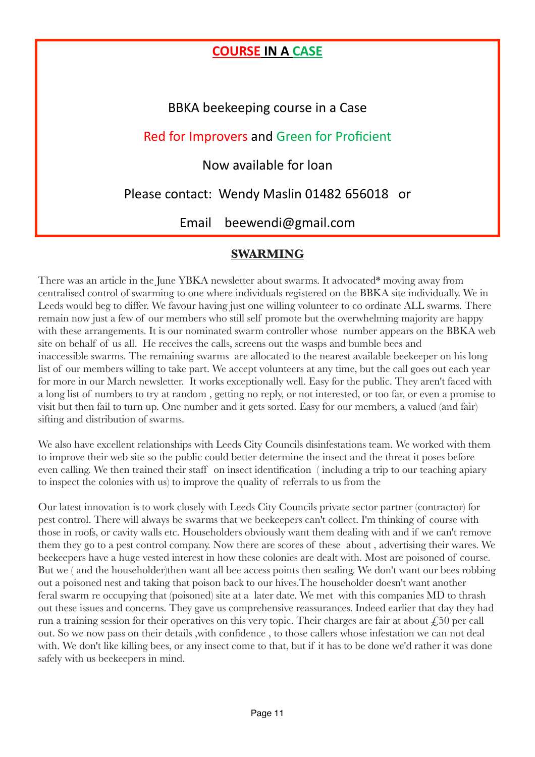### **COURSE IN A CASE**

BBKA beekeeping course in a Case

### Red for Improvers and Green for Proficient

Now available for loan 

Please contact: Wendy Maslin 01482 656018 or

Email beewendi@gmail.com

### <span id="page-10-0"></span>**SWARMING**

There was an article in the June YBKA newsletter about swarms. It advocated\* moving away from centralised control of swarming to one where individuals registered on the BBKA site individually. We in Leeds would beg to differ. We favour having just one willing volunteer to co ordinate ALL swarms. There remain now just a few of our members who still self promote but the overwhelming majority are happy with these arrangements. It is our nominated swarm controller whose number appears on the BBKA web site on behalf of us all. He receives the calls, screens out the wasps and bumble bees and inaccessible swarms. The remaining swarms are allocated to the nearest available beekeeper on his long list of our members willing to take part. We accept volunteers at any time, but the call goes out each year for more in our March newsletter. It works exceptionally well. Easy for the public. They aren't faced with a long list of numbers to try at random , getting no reply, or not interested, or too far, or even a promise to visit but then fail to turn up. One number and it gets sorted. Easy for our members, a valued (and fair) sifting and distribution of swarms.

We also have excellent relationships with Leeds City Councils disinfestations team. We worked with them to improve their web site so the public could better determine the insect and the threat it poses before even calling. We then trained their staff on insect identification ( including a trip to our teaching apiary to inspect the colonies with us) to improve the quality of referrals to us from the

Our latest innovation is to work closely with Leeds City Councils private sector partner (contractor) for pest control. There will always be swarms that we beekeepers can't collect. I'm thinking of course with those in roofs, or cavity walls etc. Householders obviously want them dealing with and if we can't remove them they go to a pest control company. Now there are scores of these about , advertising their wares. We beekeepers have a huge vested interest in how these colonies are dealt with. Most are poisoned of course. But we ( and the householder)then want all bee access points then sealing. We don't want our bees robbing out a poisoned nest and taking that poison back to our hives.The householder doesn't want another feral swarm re occupying that (poisoned) site at a later date. We met with this companies MD to thrash out these issues and concerns. They gave us comprehensive reassurances. Indeed earlier that day they had run a training session for their operatives on this very topic. Their charges are fair at about  $\zeta$ 50 per call out. So we now pass on their details ,with confidence , to those callers whose infestation we can not deal with. We don't like killing bees, or any insect come to that, but if it has to be done we'd rather it was done safely with us beekeepers in mind.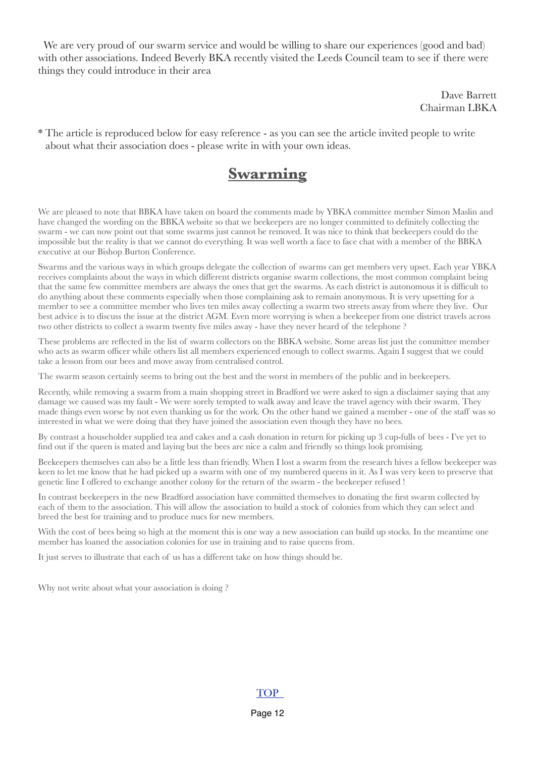We are very proud of our swarm service and would be willing to share our experiences (good and bad) with other associations. Indeed Beverly BKA recently visited the Leeds Council team to see if there were things they could introduce in their area

> Dave Barrett Chairman LBKA

\* The article is reproduced below for easy reference - as you can see the article invited people to write about what their association does - please write in with your own ideas.

## **Swarming**

We are pleased to note that BBKA have taken on board the comments made by YBKA committee member Simon Maslin and have changed the wording on the BBKA website so that we beekeepers are no longer committed to definitely collecting the swarm - we can now point out that some swarms just cannot be removed. It was nice to think that beekeepers could do the impossible but the reality is that we cannot do everything. It was well worth a face to face chat with a member of the BBKA executive at our Bishop Burton Conference.

Swarms and the various ways in which groups delegate the collection of swarms can get members very upset. Each year YBKA receives complaints about the ways in which different districts organise swarm collections, the most common complaint being that the same few committee members are always the ones that get the swarms. As each district is autonomous it is difficult to do anything about these comments especially when those complaining ask to remain anonymous. It is very upsetting for a member to see a committee member who lives ten miles away collecting a swarm two streets away from where they live. Our best advice is to discuss the issue at the district AGM. Even more worrying is when a beekeeper from one district travels across two other districts to collect a swarm twenty five miles away - have they never heard of the telephone ?

These problems are reflected in the list of swarm collectors on the BBKA website. Some areas list just the committee member who acts as swarm officer while others list all members experienced enough to collect swarms. Again I suggest that we could take a lesson from our bees and move away from centralised control.

The swarm season certainly seems to bring out the best and the worst in members of the public and in beekeepers.

Recently, while removing a swarm from a main shopping street in Bradford we were asked to sign a disclaimer saying that any damage we caused was my fault - We were sorely tempted to walk away and leave the travel agency with their swarm. They made things even worse by not even thanking us for the work. On the other hand we gained a member - one of the staff was so interested in what we were doing that they have joined the association even though they have no bees.

By contrast a householder supplied tea and cakes and a cash donation in return for picking up 3 cup-fulls of bees - I've yet to find out if the queen is mated and laying but the bees are nice a calm and friendly so things look promising.

Beekeepers themselves can also be a little less than friendly. When I lost a swarm from the research hives a fellow beekeeper was keen to let me know that he had picked up a swarm with one of my numbered queens in it. As I was very keen to preserve that genetic line I offered to exchange another colony for the return of the swarm - the beekeeper refused !

In contrast beekeepers in the new Bradford association have committed themselves to donating the first swarm collected by each of them to the association. This will allow the association to build a stock of colonies from which they can select and breed the best for training and to produce nucs for new members.

With the cost of bees being so high at the moment this is one way a new association can build up stocks. In the meantime one member has loaned the association colonies for use in training and to raise queens from.

It just serves to illustrate that each of us has a different take on how things should be.

Why not write about what your association is doing?

#### [TOP](#page-0-0)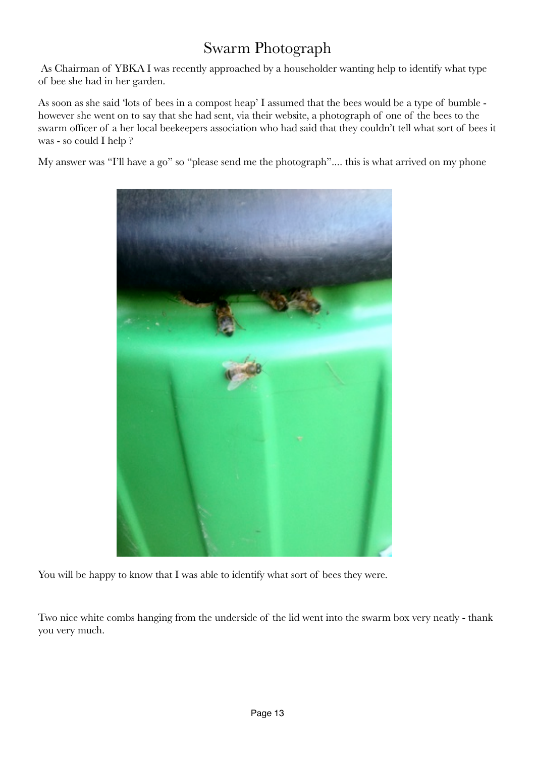## <span id="page-12-0"></span>Swarm Photograph

 As Chairman of YBKA I was recently approached by a householder wanting help to identify what type of bee she had in her garden.

As soon as she said 'lots of bees in a compost heap' I assumed that the bees would be a type of bumble however she went on to say that she had sent, via their website, a photograph of one of the bees to the swarm officer of a her local beekeepers association who had said that they couldn't tell what sort of bees it was - so could I help ?

My answer was "I'll have a go" so "please send me the photograph".... this is what arrived on my phone



You will be happy to know that I was able to identify what sort of bees they were.

Two nice white combs hanging from the underside of the lid went into the swarm box very neatly - thank you very much.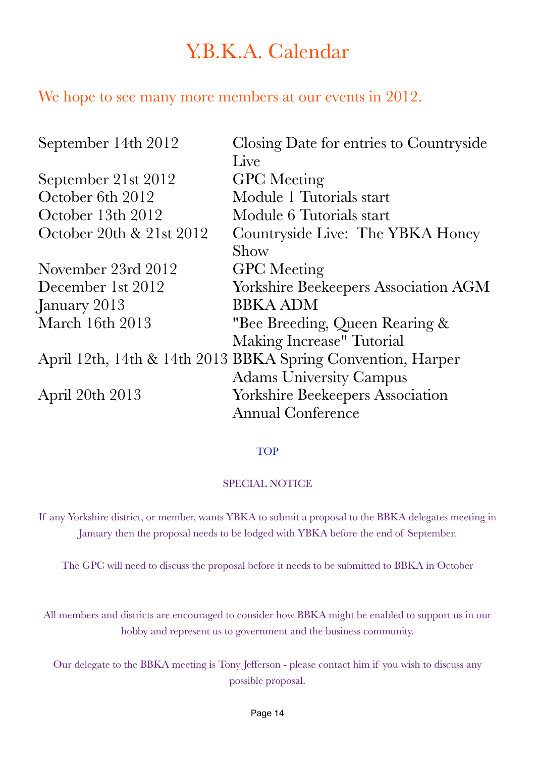# <span id="page-13-0"></span>Y.B.K.A. Calendar

### We hope to see many more members at our events in 2012.

| September 14th 2012      | Closing Date for entries to Countryside                     |
|--------------------------|-------------------------------------------------------------|
|                          | Live                                                        |
| September 21st 2012      | <b>GPC</b> Meeting                                          |
| October 6th 2012         | Module 1 Tutorials start                                    |
| October 13th 2012        | Module 6 Tutorials start                                    |
| October 20th & 21st 2012 | Countryside Live: The YBKA Honey                            |
|                          | Show                                                        |
| November 23rd 2012       | <b>GPC</b> Meeting                                          |
| December 1st 2012        | <b>Yorkshire Beekeepers Association AGM</b>                 |
| January 2013             | <b>BBKA ADM</b>                                             |
| March 16th 2013          | "Bee Breeding, Queen Rearing &                              |
|                          | Making Increase" Tutorial                                   |
|                          | April 12th, 14th & 14th 2013 BBKA Spring Convention, Harper |
|                          | <b>Adams University Campus</b>                              |
| April 20th 2013          | <b>Yorkshire Beekeepers Association</b>                     |
|                          | <b>Annual Conference</b>                                    |

### [TOP](#page-0-0)

### SPECIAL NOTICE

If any Yorkshire district, or member, wants YBKA to submit a proposal to the BBKA delegates meeting in January then the proposal needs to be lodged with YBKA before the end of September.

The GPC will need to discuss the proposal before it needs to be submitted to BBKA in October

All members and districts are encouraged to consider how BBKA might be enabled to support us in our hobby and represent us to government and the business community.

Our delegate to the BBKA meeting is Tony Jefferson - please contact him if you wish to discuss any possible proposal.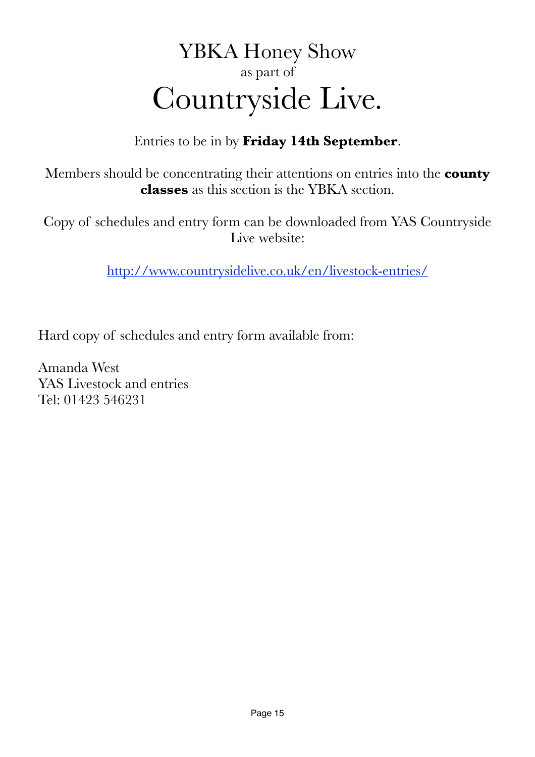# <span id="page-14-0"></span>YBKA Honey Show as part of Countryside Live.

Entries to be in by **Friday 14th September**.

Members should be concentrating their attentions on entries into the **county classes** as this section is the YBKA section.

Copy of schedules and entry form can be downloaded from YAS Countryside Live website:

<http://www.countrysidelive.co.uk/en/livestock-entries/>

Hard copy of schedules and entry form available from:

Amanda West YAS Livestock and entries Tel: 01423 546231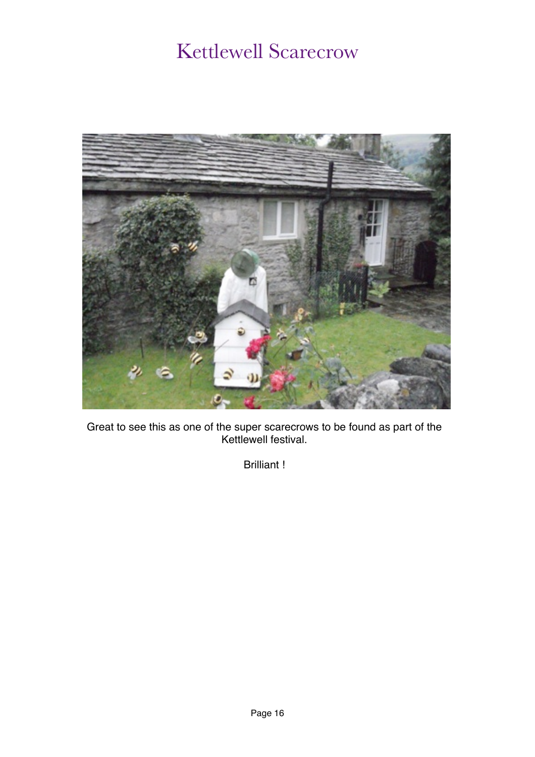# <span id="page-15-0"></span>Kettlewell Scarecrow



Great to see this as one of the super scarecrows to be found as part of the Kettlewell festival.

Brilliant !